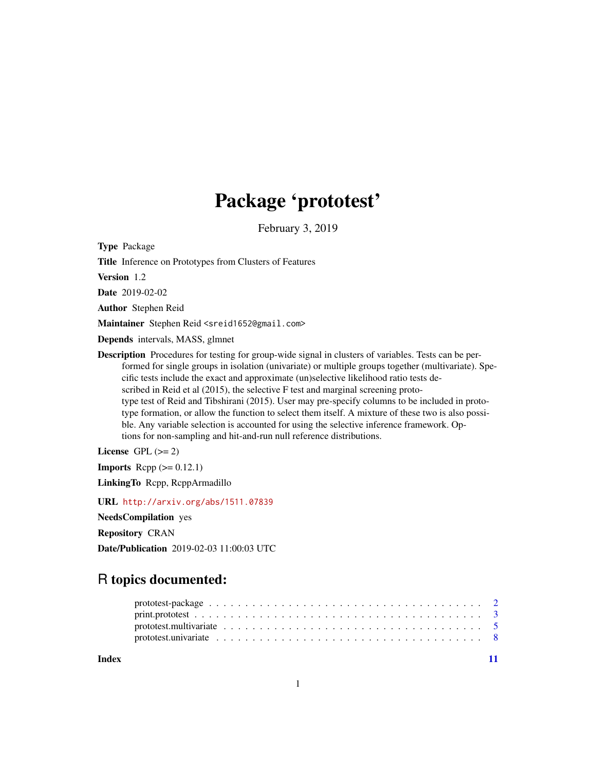## Package 'prototest'

February 3, 2019

Type Package

Title Inference on Prototypes from Clusters of Features

Version 1.2

Date 2019-02-02

Author Stephen Reid

Maintainer Stephen Reid <sreid1652@gmail.com>

Depends intervals, MASS, glmnet

Description Procedures for testing for group-wide signal in clusters of variables. Tests can be performed for single groups in isolation (univariate) or multiple groups together (multivariate). Specific tests include the exact and approximate (un)selective likelihood ratio tests described in Reid et al (2015), the selective F test and marginal screening prototype test of Reid and Tibshirani (2015). User may pre-specify columns to be included in prototype formation, or allow the function to select them itself. A mixture of these two is also possible. Any variable selection is accounted for using the selective inference framework. Options for non-sampling and hit-and-run null reference distributions.

License GPL  $(>= 2)$ 

**Imports** Rcpp  $(>= 0.12.1)$ 

LinkingTo Rcpp, RcppArmadillo

URL <http://arxiv.org/abs/1511.07839>

NeedsCompilation yes

Repository CRAN

Date/Publication 2019-02-03 11:00:03 UTC

### R topics documented:

**Index** [11](#page-10-0)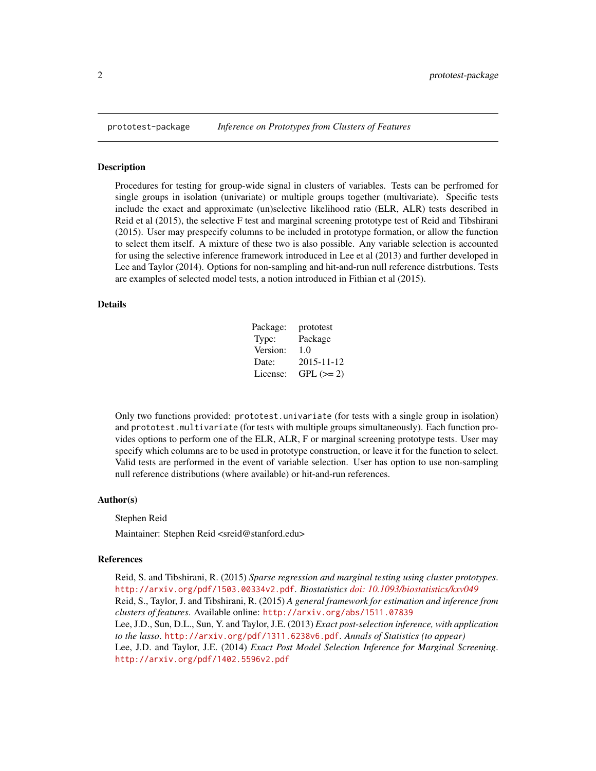<span id="page-1-0"></span>

#### Description

Procedures for testing for group-wide signal in clusters of variables. Tests can be perfromed for single groups in isolation (univariate) or multiple groups together (multivariate). Specific tests include the exact and approximate (un)selective likelihood ratio (ELR, ALR) tests described in Reid et al (2015), the selective F test and marginal screening prototype test of Reid and Tibshirani (2015). User may prespecify columns to be included in prototype formation, or allow the function to select them itself. A mixture of these two is also possible. Any variable selection is accounted for using the selective inference framework introduced in Lee et al (2013) and further developed in Lee and Taylor (2014). Options for non-sampling and hit-and-run null reference distrbutions. Tests are examples of selected model tests, a notion introduced in Fithian et al (2015).

#### Details

| Package: | prototest  |
|----------|------------|
| Type:    | Package    |
| Version: | 1.0        |
| Date:    | 2015-11-12 |
| License: | $GPL (=2)$ |

Only two functions provided: prototest.univariate (for tests with a single group in isolation) and prototest.multivariate (for tests with multiple groups simultaneously). Each function provides options to perform one of the ELR, ALR, F or marginal screening prototype tests. User may specify which columns are to be used in prototype construction, or leave it for the function to select. Valid tests are performed in the event of variable selection. User has option to use non-sampling null reference distributions (where available) or hit-and-run references.

#### Author(s)

#### Stephen Reid

Maintainer: Stephen Reid <sreid@stanford.edu>

#### References

Reid, S. and Tibshirani, R. (2015) *Sparse regression and marginal testing using cluster prototypes*. <http://arxiv.org/pdf/1503.00334v2.pdf>. *Biostatistics [doi: 10.1093/biostatistics/kxv049](http://doi.org/10.1093/biostatistics/kxv049)* Reid, S., Taylor, J. and Tibshirani, R. (2015) *A general framework for estimation and inference from clusters of features*. Available online: <http://arxiv.org/abs/1511.07839> Lee, J.D., Sun, D.L., Sun, Y. and Taylor, J.E. (2013) *Exact post-selection inference, with application to the lasso*. <http://arxiv.org/pdf/1311.6238v6.pdf>. *Annals of Statistics (to appear)* Lee, J.D. and Taylor, J.E. (2014) *Exact Post Model Selection Inference for Marginal Screening*. <http://arxiv.org/pdf/1402.5596v2.pdf>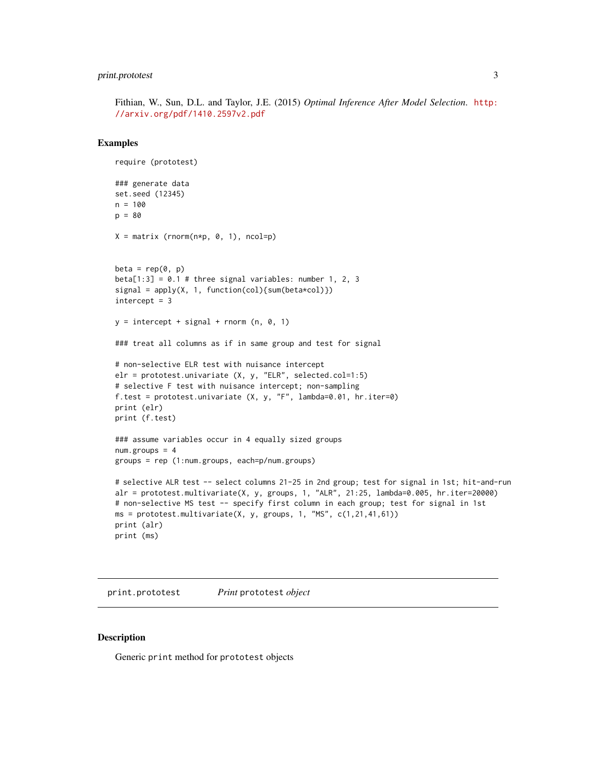#### <span id="page-2-0"></span>print.prototest 3

Fithian, W., Sun, D.L. and Taylor, J.E. (2015) *Optimal Inference After Model Selection*. [http:](http://arxiv.org/pdf/1410.2597v2.pdf) [//arxiv.org/pdf/1410.2597v2.pdf](http://arxiv.org/pdf/1410.2597v2.pdf)

#### Examples

```
require (prototest)
### generate data
set.seed (12345)
n = 100
p = 80
X = matrix (rnorm(n*p, 0, 1), ncol=p)beta = rep(0, p)beta[1:3] = 0.1 # three signal variables: number 1, 2, 3
signal = apply(X, 1, function(col){sum(beta * col)})intercept = 3y = intercept + signal + rnorm (n, 0, 1)
### treat all columns as if in same group and test for signal
# non-selective ELR test with nuisance intercept
elr = prototest.univariate (X, y, "ELR", selected.col=1:5)
# selective F test with nuisance intercept; non-sampling
f.test = prototest.univariate (X, y, "F", lambda=0.01, hr.iter=0)
print (elr)
print (f.test)
### assume variables occur in 4 equally sized groups
num.groups = 4groups = rep (1:num.groups, each=p/num.groups)
# selective ALR test -- select columns 21-25 in 2nd group; test for signal in 1st; hit-and-run
alr = prototest.multivariate(X, y, groups, 1, "ALR", 21:25, lambda=0.005, hr.iter=20000)
# non-selective MS test -- specify first column in each group; test for signal in 1st
ms = prototest.multivariate(X, y, groups, 1, "MS", c(1,21,41,61))
print (alr)
print (ms)
```
print.prototest *Print* prototest *object*

#### Description

Generic print method for prototest objects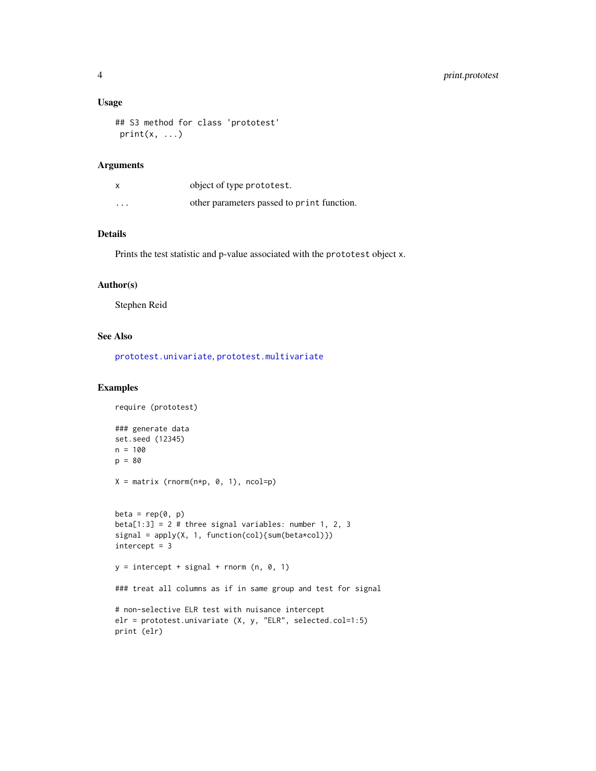#### <span id="page-3-0"></span>Usage

```
## S3 method for class 'prototest'
print(x, \ldots)
```
#### Arguments

| X        | object of type prototest.                  |
|----------|--------------------------------------------|
| $\cdots$ | other parameters passed to print function. |

#### Details

Prints the test statistic and p-value associated with the prototest object x.

#### Author(s)

Stephen Reid

#### See Also

[prototest.univariate](#page-7-1), [prototest.multivariate](#page-4-1)

#### Examples

```
require (prototest)
### generate data
set.seed (12345)
n = 100
p = 80
X = matrix (rnorm(n*p, 0, 1), ncol=p)beta = rep(0, p)beta[1:3] = 2 # three signal variables: number 1, 2, 3
signal = apply(X, 1, function(col){sum(beta*col)})
intercept = 3y = intercept + signal + rnorm (n, 0, 1)
### treat all columns as if in same group and test for signal
# non-selective ELR test with nuisance intercept
elr = prototest.univariate (X, y, "ELR", selected.col=1:5)
print (elr)
```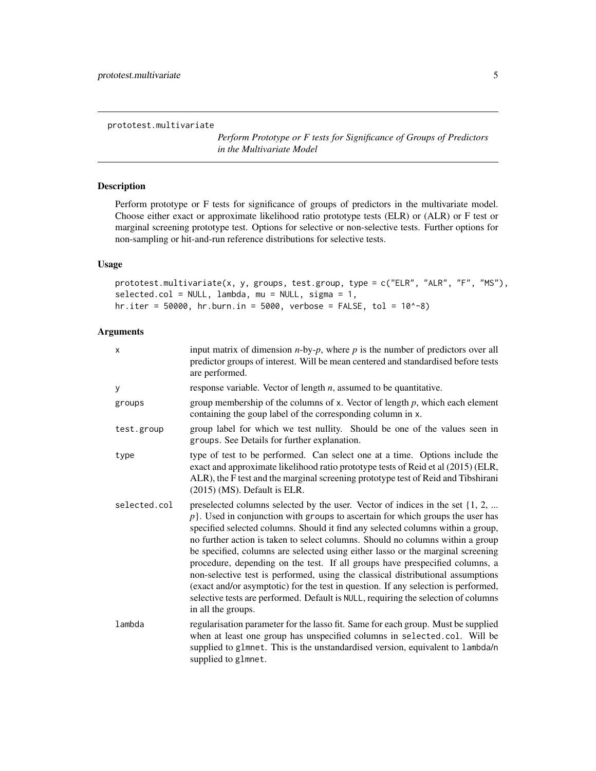<span id="page-4-1"></span><span id="page-4-0"></span>prototest.multivariate

*Perform Prototype or F tests for Significance of Groups of Predictors in the Multivariate Model*

#### Description

Perform prototype or F tests for significance of groups of predictors in the multivariate model. Choose either exact or approximate likelihood ratio prototype tests (ELR) or (ALR) or F test or marginal screening prototype test. Options for selective or non-selective tests. Further options for non-sampling or hit-and-run reference distributions for selective tests.

#### Usage

prototest.multivariate(x, y, groups, test.group, type = c("ELR", "ALR", "F", "MS"), selected.col = NULL, lambda, mu = NULL, sigma = 1, hr.iter = 50000, hr.burn.in = 5000, verbose = FALSE, tol =  $10^{\circ}$ -8)

#### Arguments

| X            | input matrix of dimension $n$ -by- $p$ , where $p$ is the number of predictors over all<br>predictor groups of interest. Will be mean centered and standardised before tests<br>are performed.                                                                                                                                                                                                                                                                                                                                                                                                                                                                                                                                                                                                     |
|--------------|----------------------------------------------------------------------------------------------------------------------------------------------------------------------------------------------------------------------------------------------------------------------------------------------------------------------------------------------------------------------------------------------------------------------------------------------------------------------------------------------------------------------------------------------------------------------------------------------------------------------------------------------------------------------------------------------------------------------------------------------------------------------------------------------------|
| У            | response variable. Vector of length $n$ , assumed to be quantitative.                                                                                                                                                                                                                                                                                                                                                                                                                                                                                                                                                                                                                                                                                                                              |
| groups       | group membership of the columns of x. Vector of length $p$ , which each element<br>containing the goup label of the corresponding column in x.                                                                                                                                                                                                                                                                                                                                                                                                                                                                                                                                                                                                                                                     |
| test.group   | group label for which we test nullity. Should be one of the values seen in<br>groups. See Details for further explanation.                                                                                                                                                                                                                                                                                                                                                                                                                                                                                                                                                                                                                                                                         |
| type         | type of test to be performed. Can select one at a time. Options include the<br>exact and approximate likelihood ratio prototype tests of Reid et al (2015) (ELR,<br>ALR), the F test and the marginal screening prototype test of Reid and Tibshirani<br>$(2015)$ (MS). Default is ELR.                                                                                                                                                                                                                                                                                                                                                                                                                                                                                                            |
| selected.col | preselected columns selected by the user. Vector of indices in the set $\{1, 2, $<br>$p$ . Used in conjunction with groups to ascertain for which groups the user has<br>specified selected columns. Should it find any selected columns within a group,<br>no further action is taken to select columns. Should no columns within a group<br>be specified, columns are selected using either lasso or the marginal screening<br>procedure, depending on the test. If all groups have prespecified columns, a<br>non-selective test is performed, using the classical distributional assumptions<br>(exact and/or asymptotic) for the test in question. If any selection is performed,<br>selective tests are performed. Default is NULL, requiring the selection of columns<br>in all the groups. |
| lambda       | regularisation parameter for the lasso fit. Same for each group. Must be supplied<br>when at least one group has unspecified columns in selected.col. Will be<br>supplied to glmnet. This is the unstandardised version, equivalent to lambda/n<br>supplied to glmnet.                                                                                                                                                                                                                                                                                                                                                                                                                                                                                                                             |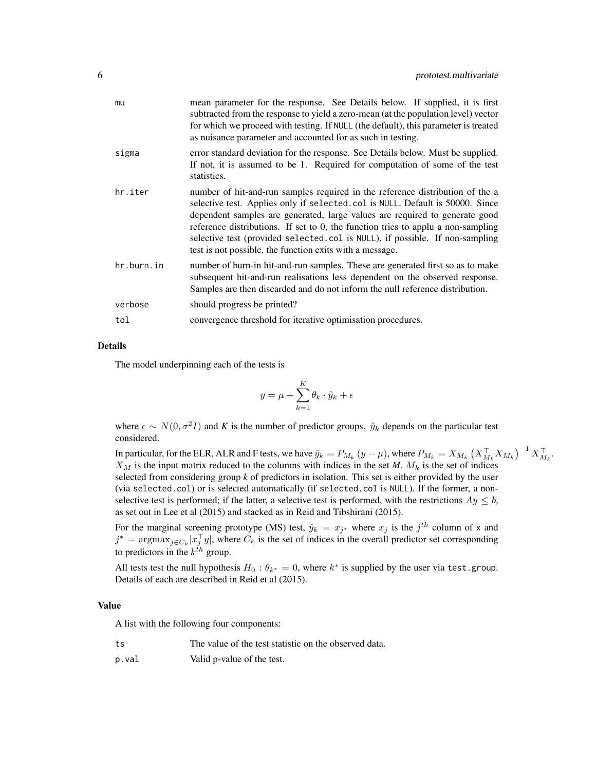| mu         | mean parameter for the response. See Details below. If supplied, it is first<br>subtracted from the response to yield a zero-mean (at the population level) vector<br>for which we proceed with testing. If NULL (the default), this parameter is treated<br>as nuisance parameter and accounted for as such in testing.                                                                                                                                                      |
|------------|-------------------------------------------------------------------------------------------------------------------------------------------------------------------------------------------------------------------------------------------------------------------------------------------------------------------------------------------------------------------------------------------------------------------------------------------------------------------------------|
| sigma      | error standard deviation for the response. See Details below. Must be supplied.<br>If not, it is assumed to be 1. Required for computation of some of the test<br>statistics.                                                                                                                                                                                                                                                                                                 |
| hr.iter    | number of hit-and-run samples required in the reference distribution of the a<br>selective test. Applies only if selected.col is NULL. Default is 50000. Since<br>dependent samples are generated, large values are required to generate good<br>reference distributions. If set to 0, the function tries to applu a non-sampling<br>selective test (provided selected.col is NULL), if possible. If non-sampling<br>test is not possible, the function exits with a message. |
| hr.burn.in | number of burn-in hit-and-run samples. These are generated first so as to make<br>subsequent hit-and-run realisations less dependent on the observed response.<br>Samples are then discarded and do not inform the null reference distribution.                                                                                                                                                                                                                               |
| verbose    | should progress be printed?                                                                                                                                                                                                                                                                                                                                                                                                                                                   |
| tol        | convergence threshold for iterative optimisation procedures.                                                                                                                                                                                                                                                                                                                                                                                                                  |

#### Details

The model underpinning each of the tests is

$$
y = \mu + \sum_{k=1}^{K} \theta_k \cdot \hat{y}_k + \epsilon
$$

where  $\epsilon \sim N(0, \sigma^2 I)$  and K is the number of predictor groups.  $\hat{y}_k$  depends on the particular test considered.

In particular, for the ELR, ALR and F tests, we have  $\hat{y}_k = P_{M_k}\left(y-\mu\right)$ , where  $P_{M_k}=X_{M_k}\left(X_{M_k}^\top X_{M_k}\right)^{-1}X_{M_k}^\top$ .  $X_M$  is the input matrix reduced to the columns with indices in the set *M*.  $M_k$  is the set of indices selected from considering group  $k$  of predictors in isolation. This set is either provided by the user (via selected.col) or is selected automatically (if selected.col is NULL). If the former, a nonselective test is performed; if the latter, a selective test is performed, with the restrictions  $Ay \leq b$ , as set out in Lee et al (2015) and stacked as in Reid and Tibshirani (2015).

For the marginal screening prototype (MS) test,  $\hat{y}_k = x_{j^*}$  where  $x_j$  is the  $j^{th}$  column of x and  $j^* = \text{argmax}_{j \in C_k} |x_j^{\top} y|$ , where  $C_k$  is the set of indices in the overall predictor set corresponding to predictors in the  $k^{th}$  group.

All tests test the null hypothesis  $H_0: \theta_{k^*} = 0$ , where  $k^*$  is supplied by the user via test.group. Details of each are described in Reid et al (2015).

#### Value

A list with the following four components:

- ts The value of the test statistic on the observed data.
- p.val Valid p-value of the test.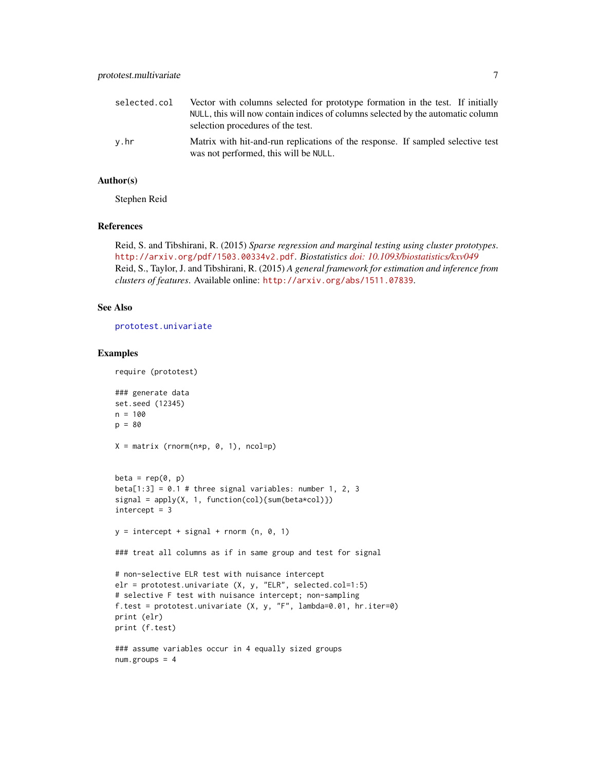<span id="page-6-0"></span>

| selected.col | Vector with columns selected for prototype formation in the test. If initially<br>NULL, this will now contain indices of columns selected by the automatic column<br>selection procedures of the test. |
|--------------|--------------------------------------------------------------------------------------------------------------------------------------------------------------------------------------------------------|
| v.hr         | Matrix with hit-and-run replications of the response. If sampled selective test<br>was not performed, this will be NULL.                                                                               |

#### Author(s)

Stephen Reid

#### References

Reid, S. and Tibshirani, R. (2015) *Sparse regression and marginal testing using cluster prototypes*. <http://arxiv.org/pdf/1503.00334v2.pdf>. *Biostatistics [doi: 10.1093/biostatistics/kxv049](http://doi.org/10.1093/biostatistics/kxv049)* Reid, S., Taylor, J. and Tibshirani, R. (2015) *A general framework for estimation and inference from clusters of features*. Available online: <http://arxiv.org/abs/1511.07839>.

#### See Also

[prototest.univariate](#page-7-1)

require (prototest)

#### Examples

```
### generate data
set.seed (12345)
n = 100
p = 80
X = matrix (rnorm(n*p, 0, 1), ncol=p)beta = rep(0, p)beta[1:3] = 0.1 # three signal variables: number 1, 2, 3
signal = apply(X, 1, function(col){sum(beta * col)})intercept = 3y = intercept + signal + rnorm (n, 0, 1)
### treat all columns as if in same group and test for signal
# non-selective ELR test with nuisance intercept
elr = prototest.univariate (X, y, "ELR", selected.col=1:5)
# selective F test with nuisance intercept; non-sampling
f.test = prototest.univariate (X, y, "F", lambda=0.01, hr.iter=0)
print (elr)
print (f.test)
### assume variables occur in 4 equally sized groups
num.groups = 4
```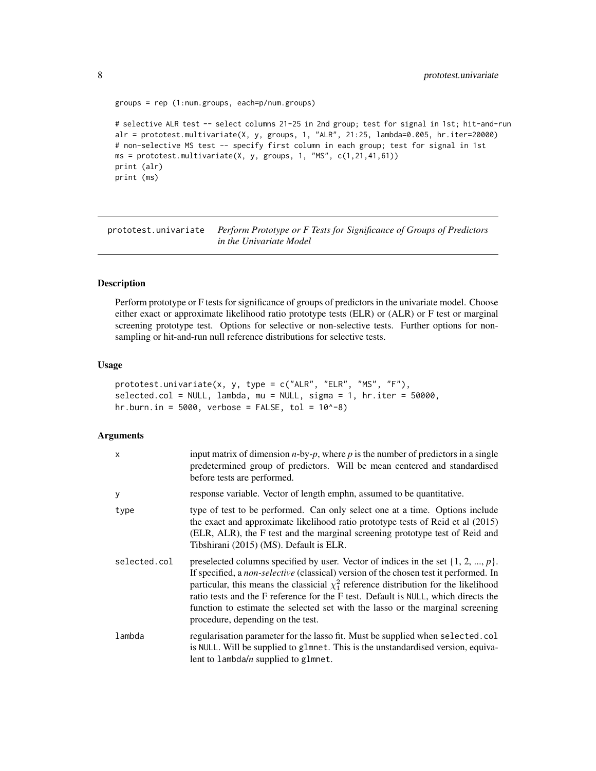```
groups = rep (1:num.groups, each=p/num.groups)
# selective ALR test -- select columns 21-25 in 2nd group; test for signal in 1st; hit-and-run
alr = prototest.multivariate(X, y, groups, 1, "ALR", 21:25, lambda=0.005, hr.iter=20000)
# non-selective MS test -- specify first column in each group; test for signal in 1st
ms = prototest.multivariate(X, y, groups, 1, "MS", c(1,21,41,61))
print (alr)
print (ms)
```
<span id="page-7-1"></span>prototest.univariate *Perform Prototype or F Tests for Significance of Groups of Predictors in the Univariate Model*

#### Description

Perform prototype or F tests for significance of groups of predictors in the univariate model. Choose either exact or approximate likelihood ratio prototype tests (ELR) or (ALR) or F test or marginal screening prototype test. Options for selective or non-selective tests. Further options for nonsampling or hit-and-run null reference distributions for selective tests.

#### Usage

```
prototest.univariate(x, y, type = c("ALR", "ELR", "MS", "F"),
selected.col = NULL, lambda, mu = NULL, sigma = 1, hr.iter = 50000,
hr.burn.in = 5000, verbose = FALSE, tol = 10^{\circ}-8)
```
#### Arguments

| x            | input matrix of dimension $n$ -by- $p$ , where $p$ is the number of predictors in a single<br>predetermined group of predictors. Will be mean centered and standardised<br>before tests are performed.                                                                                                                                                                                                                                                                                           |
|--------------|--------------------------------------------------------------------------------------------------------------------------------------------------------------------------------------------------------------------------------------------------------------------------------------------------------------------------------------------------------------------------------------------------------------------------------------------------------------------------------------------------|
| у            | response variable. Vector of length emphn, assumed to be quantitative.                                                                                                                                                                                                                                                                                                                                                                                                                           |
| type         | type of test to be performed. Can only select one at a time. Options include<br>the exact and approximate likelihood ratio prototype tests of Reid et al (2015)<br>(ELR, ALR), the F test and the marginal screening prototype test of Reid and<br>Tibshirani (2015) (MS). Default is ELR.                                                                                                                                                                                                       |
| selected.col | preselected columns specified by user. Vector of indices in the set $\{1, 2, , p\}$ .<br>If specified, a <i>non-selective</i> (classical) version of the chosen test it performed. In<br>particular, this means the classicial $\chi_1^2$ reference distribution for the likelihood<br>ratio tests and the F reference for the F test. Default is NULL, which directs the<br>function to estimate the selected set with the lasso or the marginal screening<br>procedure, depending on the test. |
| lambda       | regularisation parameter for the lasso fit. Must be supplied when selected.col<br>is NULL. Will be supplied to glmnet. This is the unstandardised version, equiva-<br>lent to $l$ ambda/n supplied to glmnet.                                                                                                                                                                                                                                                                                    |

<span id="page-7-0"></span>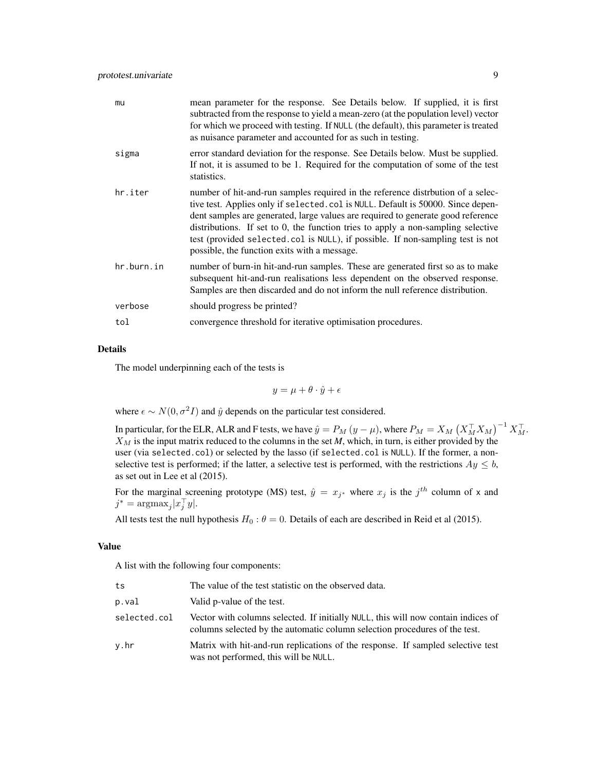| mu         | mean parameter for the response. See Details below. If supplied, it is first<br>subtracted from the response to yield a mean-zero (at the population level) vector<br>for which we proceed with testing. If NULL (the default), this parameter is treated<br>as nuisance parameter and accounted for as such in testing.                                                                                                                                                     |
|------------|------------------------------------------------------------------------------------------------------------------------------------------------------------------------------------------------------------------------------------------------------------------------------------------------------------------------------------------------------------------------------------------------------------------------------------------------------------------------------|
| sigma      | error standard deviation for the response. See Details below. Must be supplied.<br>If not, it is assumed to be 1. Required for the computation of some of the test<br>statistics.                                                                                                                                                                                                                                                                                            |
| hr.iter    | number of hit-and-run samples required in the reference distrbution of a selec-<br>tive test. Applies only if selected.col is NULL. Default is 50000. Since depen-<br>dent samples are generated, large values are required to generate good reference<br>distributions. If set to 0, the function tries to apply a non-sampling selective<br>test (provided selected.col is NULL), if possible. If non-sampling test is not<br>possible, the function exits with a message. |
| hr.burn.in | number of burn-in hit-and-run samples. These are generated first so as to make<br>subsequent hit-and-run realisations less dependent on the observed response.<br>Samples are then discarded and do not inform the null reference distribution.                                                                                                                                                                                                                              |
| verbose    | should progress be printed?                                                                                                                                                                                                                                                                                                                                                                                                                                                  |
| tol        | convergence threshold for iterative optimisation procedures.                                                                                                                                                                                                                                                                                                                                                                                                                 |

#### Details

The model underpinning each of the tests is

 $y = \mu + \theta \cdot \hat{y} + \epsilon$ 

where  $\epsilon \sim N(0, \sigma^2 I)$  and  $\hat{y}$  depends on the particular test considered.

In particular, for the ELR, ALR and F tests, we have  $\hat{y}=P_M$   $(y-\mu),$  where  $P_M=X_M\left(X_M^\top X_M\right)^{-1}X_M^\top.$  $X_M$  is the input matrix reduced to the columns in the set *M*, which, in turn, is either provided by the user (via selected.col) or selected by the lasso (if selected.col is NULL). If the former, a nonselective test is performed; if the latter, a selective test is performed, with the restrictions  $Ay \leq b$ , as set out in Lee et al (2015).

For the marginal screening prototype (MS) test,  $\hat{y} = x_{j*}$  where  $x_j$  is the  $j<sup>th</sup>$  column of x and  $j^* = \operatorname{argmax}_j |x_j^{\top} y|.$ 

All tests test the null hypothesis  $H_0$ :  $\theta = 0$ . Details of each are described in Reid et al (2015).

#### Value

A list with the following four components:

| ts           | The value of the test statistic on the observed data.                                                                                                           |
|--------------|-----------------------------------------------------------------------------------------------------------------------------------------------------------------|
| p.val        | Valid p-value of the test.                                                                                                                                      |
| selected.col | Vector with columns selected. If initially NULL, this will now contain indices of<br>columns selected by the automatic column selection procedures of the test. |
| v.hr         | Matrix with hit-and-run replications of the response. If sampled selective test<br>was not performed, this will be NULL.                                        |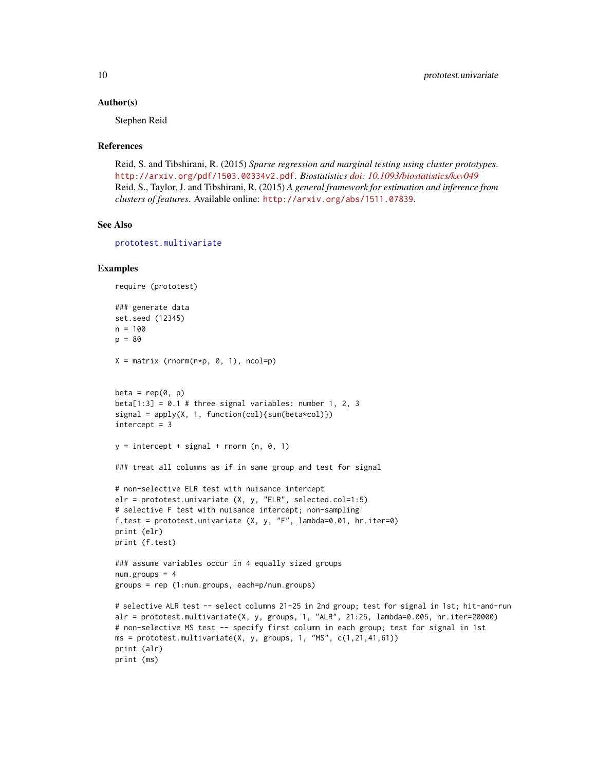#### <span id="page-9-0"></span>Author(s)

Stephen Reid

#### References

Reid, S. and Tibshirani, R. (2015) *Sparse regression and marginal testing using cluster prototypes*. <http://arxiv.org/pdf/1503.00334v2.pdf>. *Biostatistics [doi: 10.1093/biostatistics/kxv049](http://doi.org/10.1093/biostatistics/kxv049)* Reid, S., Taylor, J. and Tibshirani, R. (2015) *A general framework for estimation and inference from clusters of features*. Available online: <http://arxiv.org/abs/1511.07839>.

#### See Also

[prototest.multivariate](#page-4-1)

#### Examples

```
require (prototest)
### generate data
set.seed (12345)
n = 100
p = 80X = matrix (rnorm(n*p, 0, 1), ncol=p)beta = rep(0, p)beta[1:3] = 0.1 # three signal variables: number 1, 2, 3
signal = apply(X, 1, function(col){sum(beta * col)})intercept = 3y = intercept + signal + rnorm (n, 0, 1)
### treat all columns as if in same group and test for signal
# non-selective ELR test with nuisance intercept
elr = prototest.univariate (X, y, "ELR", selected.col=1:5)
# selective F test with nuisance intercept; non-sampling
f.test = prototest.univariate (X, y, "F", lambda=0.01, hr.iter=0)
print (elr)
print (f.test)
### assume variables occur in 4 equally sized groups
num.groups = 4groups = rep (1:num.groups, each=p/num.groups)
# selective ALR test -- select columns 21-25 in 2nd group; test for signal in 1st; hit-and-run
alr = prototest.multivariate(X, y, groups, 1, "ALR", 21:25, lambda=0.005, hr.iter=20000)
# non-selective MS test -- specify first column in each group; test for signal in 1st
ms = prototest.multivariate(X, y, groups, 1, "MS", c(1, 21, 41, 61))
print (alr)
print (ms)
```